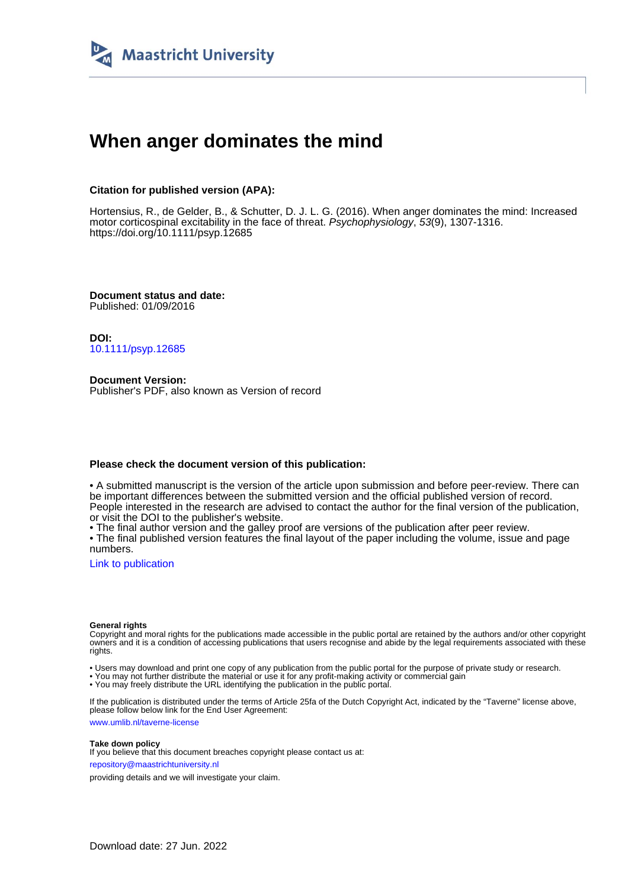

## **When anger dominates the mind**

## **Citation for published version (APA):**

Hortensius, R., de Gelder, B., & Schutter, D. J. L. G. (2016). When anger dominates the mind: Increased motor corticospinal excitability in the face of threat. Psychophysiology, 53(9), 1307-1316. <https://doi.org/10.1111/psyp.12685>

**Document status and date:** Published: 01/09/2016

**DOI:** [10.1111/psyp.12685](https://doi.org/10.1111/psyp.12685)

**Document Version:** Publisher's PDF, also known as Version of record

## **Please check the document version of this publication:**

• A submitted manuscript is the version of the article upon submission and before peer-review. There can be important differences between the submitted version and the official published version of record. People interested in the research are advised to contact the author for the final version of the publication, or visit the DOI to the publisher's website.

• The final author version and the galley proof are versions of the publication after peer review.

• The final published version features the final layout of the paper including the volume, issue and page numbers.

[Link to publication](https://cris.maastrichtuniversity.nl/en/publications/e1af7ef8-e4cb-4c54-ae87-e70fc5c2368d)

## **General rights**

Copyright and moral rights for the publications made accessible in the public portal are retained by the authors and/or other copyright owners and it is a condition of accessing publications that users recognise and abide by the legal requirements associated with these rights.

• Users may download and print one copy of any publication from the public portal for the purpose of private study or research.

• You may not further distribute the material or use it for any profit-making activity or commercial gain

• You may freely distribute the URL identifying the publication in the public portal.

If the publication is distributed under the terms of Article 25fa of the Dutch Copyright Act, indicated by the "Taverne" license above, please follow below link for the End User Agreement:

www.umlib.nl/taverne-license

## **Take down policy**

If you believe that this document breaches copyright please contact us at: repository@maastrichtuniversity.nl

providing details and we will investigate your claim.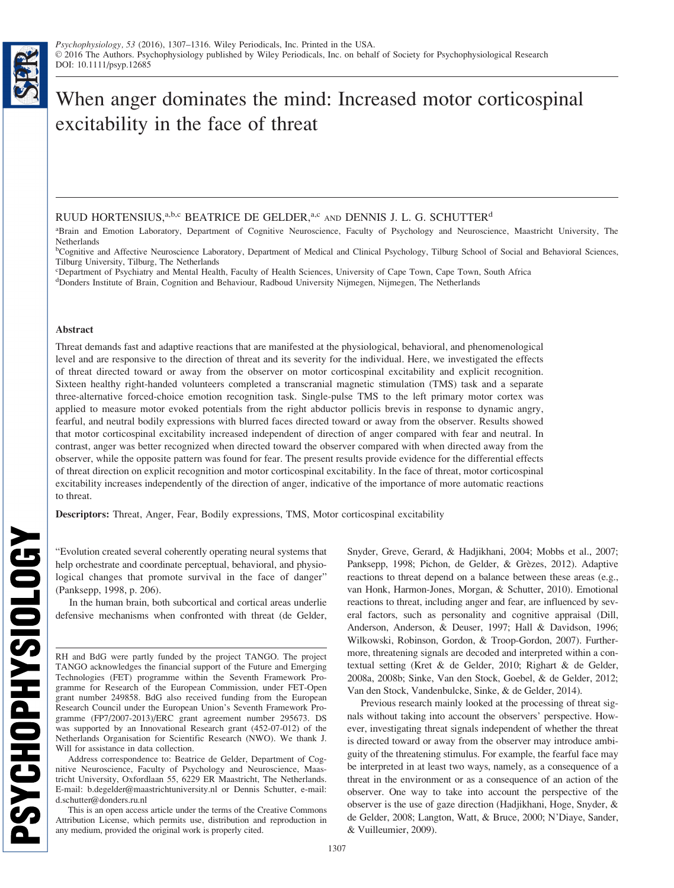# When anger dominates the mind: Increased motor corticospinal excitability in the face of threat

## RUUD HORTENSIUS, a,b,c BEATRICE DE GELDER, a,c AND DENNIS J. L. G. SCHUTTER<sup>d</sup>

a Brain and Emotion Laboratory, Department of Cognitive Neuroscience, Faculty of Psychology and Neuroscience, Maastricht University, The **Netherlands** 

<sup>b</sup>Cognitive and Affective Neuroscience Laboratory, Department of Medical and Clinical Psychology, Tilburg School of Social and Behavioral Sciences, Tilburg University, Tilburg, The Netherlands

c Department of Psychiatry and Mental Health, Faculty of Health Sciences, University of Cape Town, Cape Town, South Africa

d Donders Institute of Brain, Cognition and Behaviour, Radboud University Nijmegen, Nijmegen, The Netherlands

## Abstract

Threat demands fast and adaptive reactions that are manifested at the physiological, behavioral, and phenomenological level and are responsive to the direction of threat and its severity for the individual. Here, we investigated the effects of threat directed toward or away from the observer on motor corticospinal excitability and explicit recognition. Sixteen healthy right-handed volunteers completed a transcranial magnetic stimulation (TMS) task and a separate three-alternative forced-choice emotion recognition task. Single-pulse TMS to the left primary motor cortex was applied to measure motor evoked potentials from the right abductor pollicis brevis in response to dynamic angry, fearful, and neutral bodily expressions with blurred faces directed toward or away from the observer. Results showed that motor corticospinal excitability increased independent of direction of anger compared with fear and neutral. In contrast, anger was better recognized when directed toward the observer compared with when directed away from the observer, while the opposite pattern was found for fear. The present results provide evidence for the differential effects of threat direction on explicit recognition and motor corticospinal excitability. In the face of threat, motor corticospinal excitability increases independently of the direction of anger, indicative of the importance of more automatic reactions to threat.

Descriptors: Threat, Anger, Fear, Bodily expressions, TMS, Motor corticospinal excitability

"Evolution created several coherently operating neural systems that help orchestrate and coordinate perceptual, behavioral, and physiological changes that promote survival in the face of danger" (Panksepp, 1998, p. 206).

In the human brain, both subcortical and cortical areas underlie defensive mechanisms when confronted with threat (de Gelder,

Snyder, Greve, Gerard, & Hadjikhani, 2004; Mobbs et al., 2007; Panksepp, 1998; Pichon, de Gelder, & Grèzes, 2012). Adaptive reactions to threat depend on a balance between these areas (e.g., van Honk, Harmon-Jones, Morgan, & Schutter, 2010). Emotional reactions to threat, including anger and fear, are influenced by several factors, such as personality and cognitive appraisal (Dill, Anderson, Anderson, & Deuser, 1997; Hall & Davidson, 1996; Wilkowski, Robinson, Gordon, & Troop-Gordon, 2007). Furthermore, threatening signals are decoded and interpreted within a contextual setting (Kret & de Gelder, 2010; Righart & de Gelder, 2008a, 2008b; Sinke, Van den Stock, Goebel, & de Gelder, 2012; Van den Stock, Vandenbulcke, Sinke, & de Gelder, 2014).

Previous research mainly looked at the processing of threat signals without taking into account the observers' perspective. However, investigating threat signals independent of whether the threat is directed toward or away from the observer may introduce ambiguity of the threatening stimulus. For example, the fearful face may be interpreted in at least two ways, namely, as a consequence of a threat in the environment or as a consequence of an action of the observer. One way to take into account the perspective of the observer is the use of gaze direction (Hadjikhani, Hoge, Snyder, & de Gelder, 2008; Langton, Watt, & Bruce, 2000; N'Diaye, Sander, & Vuilleumier, 2009).

RH and BdG were partly funded by the project TANGO. The project TANGO acknowledges the financial support of the Future and Emerging Technologies (FET) programme within the Seventh Framework Programme for Research of the European Commission, under FET-Open grant number 249858. BdG also received funding from the European Research Council under the European Union's Seventh Framework Programme (FP7/2007-2013)/ERC grant agreement number 295673. DS was supported by an Innovational Research grant (452-07-012) of the Netherlands Organisation for Scientific Research (NWO). We thank J. Will for assistance in data collection.

Address correspondence to: Beatrice de Gelder, Department of Cognitive Neuroscience, Faculty of Psychology and Neuroscience, Maastricht University, Oxfordlaan 55, 6229 ER Maastricht, The Netherlands. E-mail: b.degelder@maastrichtuniversity.nl or Dennis Schutter, e-mail: d.schutter@donders.ru.nl

This is an open access article under the terms of the [Creative Commons](http://creativecommons.org/licenses/by/4.0/) [Attribution](http://creativecommons.org/licenses/by/4.0/) License, which permits use, distribution and reproduction in any medium, provided the original work is properly cited.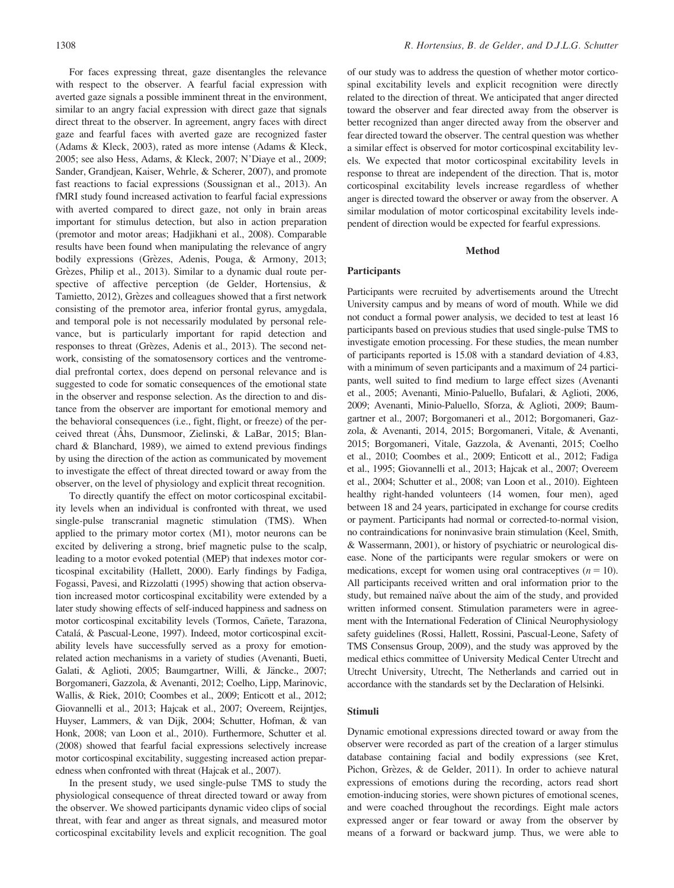For faces expressing threat, gaze disentangles the relevance with respect to the observer. A fearful facial expression with averted gaze signals a possible imminent threat in the environment, similar to an angry facial expression with direct gaze that signals direct threat to the observer. In agreement, angry faces with direct gaze and fearful faces with averted gaze are recognized faster (Adams & Kleck, 2003), rated as more intense (Adams & Kleck, 2005; see also Hess, Adams, & Kleck, 2007; N'Diaye et al., 2009; Sander, Grandjean, Kaiser, Wehrle, & Scherer, 2007), and promote fast reactions to facial expressions (Soussignan et al., 2013). An fMRI study found increased activation to fearful facial expressions with averted compared to direct gaze, not only in brain areas important for stimulus detection, but also in action preparation (premotor and motor areas; Hadjikhani et al., 2008). Comparable results have been found when manipulating the relevance of angry bodily expressions (Grèzes, Adenis, Pouga, & Armony, 2013; Grèzes, Philip et al., 2013). Similar to a dynamic dual route perspective of affective perception (de Gelder, Hortensius, & Tamietto, 2012), Grèzes and colleagues showed that a first network consisting of the premotor area, inferior frontal gyrus, amygdala, and temporal pole is not necessarily modulated by personal relevance, but is particularly important for rapid detection and responses to threat (Grèzes, Adenis et al., 2013). The second network, consisting of the somatosensory cortices and the ventromedial prefrontal cortex, does depend on personal relevance and is suggested to code for somatic consequences of the emotional state in the observer and response selection. As the direction to and distance from the observer are important for emotional memory and the behavioral consequences (i.e., fight, flight, or freeze) of the perceived threat (Ahs, Dunsmoor, Zielinski, & LaBar, 2015; Blanchard & Blanchard, 1989), we aimed to extend previous findings by using the direction of the action as communicated by movement to investigate the effect of threat directed toward or away from the observer, on the level of physiology and explicit threat recognition.

To directly quantify the effect on motor corticospinal excitability levels when an individual is confronted with threat, we used single-pulse transcranial magnetic stimulation (TMS). When applied to the primary motor cortex (M1), motor neurons can be excited by delivering a strong, brief magnetic pulse to the scalp, leading to a motor evoked potential (MEP) that indexes motor corticospinal excitability (Hallett, 2000). Early findings by Fadiga, Fogassi, Pavesi, and Rizzolatti (1995) showing that action observation increased motor corticospinal excitability were extended by a later study showing effects of self-induced happiness and sadness on motor corticospinal excitability levels (Tormos, Cañete, Tarazona, Catalá, & Pascual-Leone, 1997). Indeed, motor corticospinal excitability levels have successfully served as a proxy for emotionrelated action mechanisms in a variety of studies (Avenanti, Bueti, Galati, & Aglioti, 2005; Baumgartner, Willi, & Jäncke., 2007; Borgomaneri, Gazzola, & Avenanti, 2012; Coelho, Lipp, Marinovic, Wallis, & Riek, 2010; Coombes et al., 2009; Enticott et al., 2012; Giovannelli et al., 2013; Hajcak et al., 2007; Overeem, Reijntjes, Huyser, Lammers, & van Dijk, 2004; Schutter, Hofman, & van Honk, 2008; van Loon et al., 2010). Furthermore, Schutter et al. (2008) showed that fearful facial expressions selectively increase motor corticospinal excitability, suggesting increased action preparedness when confronted with threat (Hajcak et al., 2007).

In the present study, we used single-pulse TMS to study the physiological consequence of threat directed toward or away from the observer. We showed participants dynamic video clips of social threat, with fear and anger as threat signals, and measured motor corticospinal excitability levels and explicit recognition. The goal of our study was to address the question of whether motor corticospinal excitability levels and explicit recognition were directly related to the direction of threat. We anticipated that anger directed toward the observer and fear directed away from the observer is better recognized than anger directed away from the observer and fear directed toward the observer. The central question was whether a similar effect is observed for motor corticospinal excitability levels. We expected that motor corticospinal excitability levels in response to threat are independent of the direction. That is, motor corticospinal excitability levels increase regardless of whether anger is directed toward the observer or away from the observer. A similar modulation of motor corticospinal excitability levels independent of direction would be expected for fearful expressions.

#### Method

### Participants

Participants were recruited by advertisements around the Utrecht University campus and by means of word of mouth. While we did not conduct a formal power analysis, we decided to test at least 16 participants based on previous studies that used single-pulse TMS to investigate emotion processing. For these studies, the mean number of participants reported is 15.08 with a standard deviation of 4.83, with a minimum of seven participants and a maximum of 24 participants, well suited to find medium to large effect sizes (Avenanti et al., 2005; Avenanti, Minio-Paluello, Bufalari, & Aglioti, 2006, 2009; Avenanti, Minio-Paluello, Sforza, & Aglioti, 2009; Baumgartner et al., 2007; Borgomaneri et al., 2012; Borgomaneri, Gazzola, & Avenanti, 2014, 2015; Borgomaneri, Vitale, & Avenanti, 2015; Borgomaneri, Vitale, Gazzola, & Avenanti, 2015; Coelho et al., 2010; Coombes et al., 2009; Enticott et al., 2012; Fadiga et al., 1995; Giovannelli et al., 2013; Hajcak et al., 2007; Overeem et al., 2004; Schutter et al., 2008; van Loon et al., 2010). Eighteen healthy right-handed volunteers (14 women, four men), aged between 18 and 24 years, participated in exchange for course credits or payment. Participants had normal or corrected-to-normal vision, no contraindications for noninvasive brain stimulation (Keel, Smith, & Wassermann, 2001), or history of psychiatric or neurological disease. None of the participants were regular smokers or were on medications, except for women using oral contraceptives  $(n = 10)$ . All participants received written and oral information prior to the study, but remained naïve about the aim of the study, and provided written informed consent. Stimulation parameters were in agreement with the International Federation of Clinical Neurophysiology safety guidelines (Rossi, Hallett, Rossini, Pascual-Leone, Safety of TMS Consensus Group, 2009), and the study was approved by the medical ethics committee of University Medical Center Utrecht and Utrecht University, Utrecht, The Netherlands and carried out in accordance with the standards set by the Declaration of Helsinki.

## Stimuli

Dynamic emotional expressions directed toward or away from the observer were recorded as part of the creation of a larger stimulus database containing facial and bodily expressions (see Kret, Pichon, Grèzes, & de Gelder, 2011). In order to achieve natural expressions of emotions during the recording, actors read short emotion-inducing stories, were shown pictures of emotional scenes, and were coached throughout the recordings. Eight male actors expressed anger or fear toward or away from the observer by means of a forward or backward jump. Thus, we were able to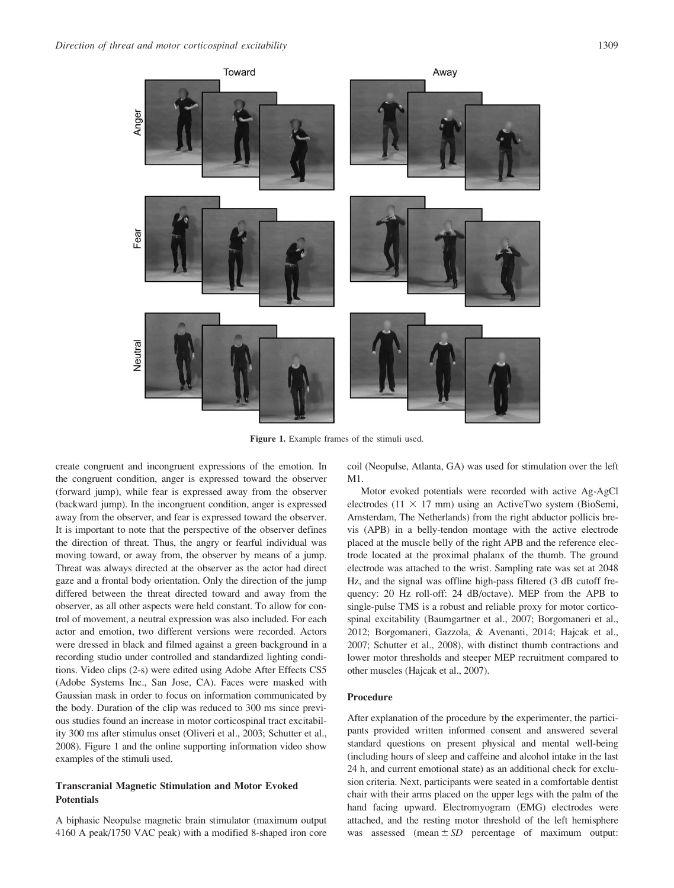

Figure 1. Example frames of the stimuli used.

create congruent and incongruent expressions of the emotion. In the congruent condition, anger is expressed toward the observer (forward jump), while fear is expressed away from the observer (backward jump). In the incongruent condition, anger is expressed away from the observer, and fear is expressed toward the observer. It is important to note that the perspective of the observer defines the direction of threat. Thus, the angry or fearful individual was moving toward, or away from, the observer by means of a jump. Threat was always directed at the observer as the actor had direct gaze and a frontal body orientation. Only the direction of the jump differed between the threat directed toward and away from the observer, as all other aspects were held constant. To allow for control of movement, a neutral expression was also included. For each actor and emotion, two different versions were recorded. Actors were dressed in black and filmed against a green background in a recording studio under controlled and standardized lighting conditions. Video clips (2-s) were edited using Adobe After Effects CS5 (Adobe Systems Inc., San Jose, CA). Faces were masked with Gaussian mask in order to focus on information communicated by the body. Duration of the clip was reduced to 300 ms since previous studies found an increase in motor corticospinal tract excitability 300 ms after stimulus onset (Oliveri et al., 2003; Schutter et al., 2008). Figure 1 and the online supporting information video show examples of the stimuli used.

## Transcranial Magnetic Stimulation and Motor Evoked Potentials

A biphasic Neopulse magnetic brain stimulator (maximum output 4160 A peak/1750 VAC peak) with a modified 8-shaped iron core

coil (Neopulse, Atlanta, GA) was used for stimulation over the left M1.

Motor evoked potentials were recorded with active Ag-AgCl electrodes (11  $\times$  17 mm) using an ActiveTwo system (BioSemi, Amsterdam, The Netherlands) from the right abductor pollicis brevis (APB) in a belly-tendon montage with the active electrode placed at the muscle belly of the right APB and the reference electrode located at the proximal phalanx of the thumb. The ground electrode was attached to the wrist. Sampling rate was set at 2048 Hz, and the signal was offline high-pass filtered (3 dB cutoff frequency: 20 Hz roll-off: 24 dB/octave). MEP from the APB to single-pulse TMS is a robust and reliable proxy for motor corticospinal excitability (Baumgartner et al., 2007; Borgomaneri et al., 2012; Borgomaneri, Gazzola, & Avenanti, 2014; Hajcak et al., 2007; Schutter et al., 2008), with distinct thumb contractions and lower motor thresholds and steeper MEP recruitment compared to other muscles (Hajcak et al., 2007).

#### Procedure

After explanation of the procedure by the experimenter, the participants provided written informed consent and answered several standard questions on present physical and mental well-being (including hours of sleep and caffeine and alcohol intake in the last 24 h, and current emotional state) as an additional check for exclusion criteria. Next, participants were seated in a comfortable dentist chair with their arms placed on the upper legs with the palm of the hand facing upward. Electromyogram (EMG) electrodes were attached, and the resting motor threshold of the left hemisphere was assessed (mean  $\pm SD$  percentage of maximum output: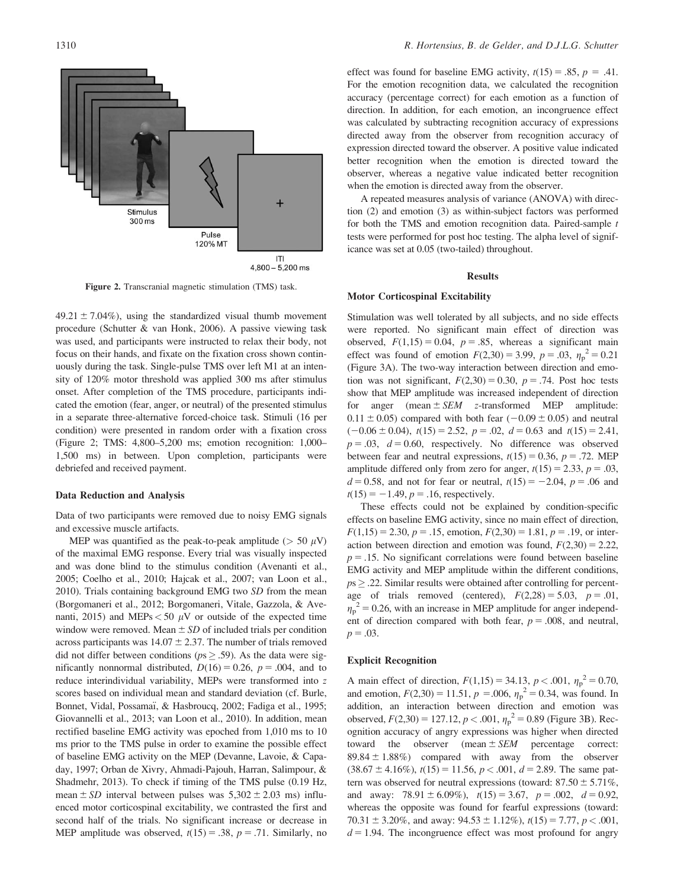

Figure 2. Transcranial magnetic stimulation (TMS) task.

 $49.21 \pm 7.04\%$ , using the standardized visual thumb movement procedure (Schutter & van Honk, 2006). A passive viewing task was used, and participants were instructed to relax their body, not focus on their hands, and fixate on the fixation cross shown continuously during the task. Single-pulse TMS over left M1 at an intensity of 120% motor threshold was applied 300 ms after stimulus onset. After completion of the TMS procedure, participants indicated the emotion (fear, anger, or neutral) of the presented stimulus in a separate three-alternative forced-choice task. Stimuli (16 per condition) were presented in random order with a fixation cross (Figure 2; TMS: 4,800–5,200 ms; emotion recognition: 1,000– 1,500 ms) in between. Upon completion, participants were debriefed and received payment.

#### Data Reduction and Analysis

Data of two participants were removed due to noisy EMG signals and excessive muscle artifacts.

MEP was quantified as the peak-to-peak amplitude ( $> 50 \mu$ V) of the maximal EMG response. Every trial was visually inspected and was done blind to the stimulus condition (Avenanti et al., 2005; Coelho et al., 2010; Hajcak et al., 2007; van Loon et al., 2010). Trials containing background EMG two SD from the mean (Borgomaneri et al., 2012; Borgomaneri, Vitale, Gazzola, & Avenanti, 2015) and MEPs  $<$  50  $\mu$ V or outside of the expected time window were removed. Mean  $\pm SD$  of included trials per condition across participants was  $14.07 \pm 2.37$ . The number of trials removed did not differ between conditions ( $ps \geq .59$ ). As the data were significantly nonnormal distributed,  $D(16) = 0.26$ ,  $p = .004$ , and to reduce interindividual variability, MEPs were transformed into z scores based on individual mean and standard deviation (cf. Burle, Bonnet, Vidal, Possamaï, & Hasbroucq, 2002; Fadiga et al., 1995; Giovannelli et al., 2013; van Loon et al., 2010). In addition, mean rectified baseline EMG activity was epoched from 1,010 ms to 10 ms prior to the TMS pulse in order to examine the possible effect of baseline EMG activity on the MEP (Devanne, Lavoie, & Capaday, 1997; Orban de Xivry, Ahmadi-Pajouh, Harran, Salimpour, & Shadmehr, 2013). To check if timing of the TMS pulse (0.19 Hz, mean  $\pm$  SD interval between pulses was  $5,302 \pm 2.03$  ms) influenced motor corticospinal excitability, we contrasted the first and second half of the trials. No significant increase or decrease in MEP amplitude was observed,  $t(15) = .38$ ,  $p = .71$ . Similarly, no effect was found for baseline EMG activity,  $t(15) = .85$ ,  $p = .41$ . For the emotion recognition data, we calculated the recognition accuracy (percentage correct) for each emotion as a function of direction. In addition, for each emotion, an incongruence effect was calculated by subtracting recognition accuracy of expressions directed away from the observer from recognition accuracy of expression directed toward the observer. A positive value indicated better recognition when the emotion is directed toward the observer, whereas a negative value indicated better recognition when the emotion is directed away from the observer.

A repeated measures analysis of variance (ANOVA) with direction (2) and emotion (3) as within-subject factors was performed for both the TMS and emotion recognition data. Paired-sample t tests were performed for post hoc testing. The alpha level of significance was set at 0.05 (two-tailed) throughout.

#### Results

### Motor Corticospinal Excitability

Stimulation was well tolerated by all subjects, and no side effects were reported. No significant main effect of direction was observed,  $F(1,15) = 0.04$ ,  $p = .85$ , whereas a significant main effect was found of emotion  $F(2,30) = 3.99$ ,  $p = .03$ ,  $\eta_p^2 = 0.21$ (Figure 3A). The two-way interaction between direction and emotion was not significant,  $F(2,30) = 0.30$ ,  $p = .74$ . Post hoc tests show that MEP amplitude was increased independent of direction for anger (mean  $\pm$  SEM z-transformed MEP amplitude:  $0.11 \pm 0.05$ ) compared with both fear ( $-0.09 \pm 0.05$ ) and neutral  $(-0.06 \pm 0.04), t(15) = 2.52, p = .02, d = 0.63 \text{ and } t(15) = 2.41,$  $p = .03$ ,  $d = 0.60$ , respectively. No difference was observed between fear and neutral expressions,  $t(15) = 0.36$ ,  $p = .72$ . MEP amplitude differed only from zero for anger,  $t(15) = 2.33$ ,  $p = .03$ ,  $d = 0.58$ , and not for fear or neutral,  $t(15) = -2.04$ ,  $p = .06$  and  $t(15) = -1.49$ ,  $p = .16$ , respectively.

These effects could not be explained by condition-specific effects on baseline EMG activity, since no main effect of direction,  $F(1,15) = 2.30, p = .15,$  emotion,  $F(2,30) = 1.81, p = .19$ , or interaction between direction and emotion was found,  $F(2,30) = 2.22$ ,  $p = .15$ . No significant correlations were found between baseline EMG activity and MEP amplitude within the different conditions,  $ps \geq .22$ . Similar results were obtained after controlling for percentage of trials removed (centered),  $F(2,28) = 5.03$ ,  $p = .01$ ,  $\eta_p^2$  = 0.26, with an increase in MEP amplitude for anger independent of direction compared with both fear,  $p = .008$ , and neutral,  $p = .03$ .

#### Explicit Recognition

A main effect of direction,  $F(1,15) = 34.13$ ,  $p < .001$ ,  $\eta_p^2 = 0.70$ , and emotion,  $F(2,30) = 11.51$ ,  $p = .006$ ,  $\eta_p^2 = 0.34$ , was found. In addition, an interaction between direction and emotion was observed,  $F(2,30) = 127.12$ ,  $p < .001$ ,  $\eta_p^2 = 0.89$  (Figure 3B). Recognition accuracy of angry expressions was higher when directed toward the observer (mean  $\pm$  SEM percentage correct:  $89.84 \pm 1.88\%$  compared with away from the observer  $(38.67 \pm 4.16\%)$ ,  $t(15) = 11.56$ ,  $p < .001$ ,  $d = 2.89$ . The same pattern was observed for neutral expressions (toward:  $87.50 \pm 5.71\%$ , and away:  $78.91 \pm 6.09\%$ ,  $t(15) = 3.67$ ,  $p = .002$ ,  $d = 0.92$ , whereas the opposite was found for fearful expressions (toward: 70.31  $\pm$  3.20%, and away: 94.53  $\pm$  1.12%),  $t(15) = 7.77$ ,  $p < .001$ ,  $d = 1.94$ . The incongruence effect was most profound for angry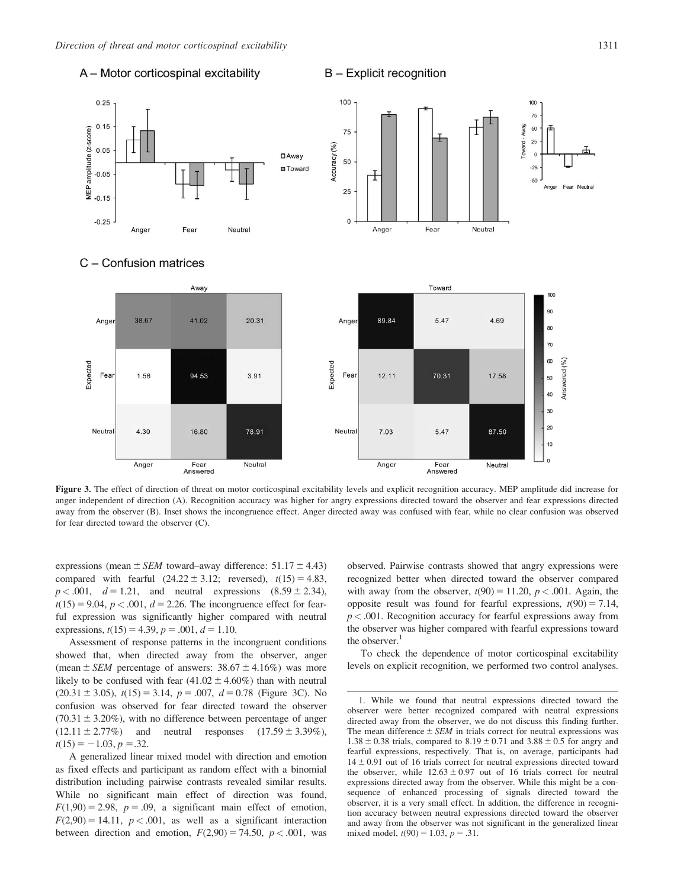## A - Motor corticospinal excitability











Figure 3. The effect of direction of threat on motor corticospinal excitability levels and explicit recognition accuracy. MEP amplitude did increase for anger independent of direction (A). Recognition accuracy was higher for angry expressions directed toward the observer and fear expressions directed away from the observer (B). Inset shows the incongruence effect. Anger directed away was confused with fear, while no clear confusion was observed for fear directed toward the observer (C).

expressions (mean  $\pm$  SEM toward–away difference: 51.17  $\pm$  4.43) compared with fearful  $(24.22 \pm 3.12;$  reversed),  $t(15) = 4.83$ ,  $p < .001$ ,  $d = 1.21$ , and neutral expressions  $(8.59 \pm 2.34)$ ,  $t(15) = 9.04, p < .001, d = 2.26$ . The incongruence effect for fearful expression was significantly higher compared with neutral expressions,  $t(15) = 4.39$ ,  $p = .001$ ,  $d = 1.10$ .

Assessment of response patterns in the incongruent conditions showed that, when directed away from the observer, anger (mean  $\pm$  SEM percentage of answers: 38.67  $\pm$  4.16%) was more likely to be confused with fear  $(41.02 \pm 4.60\%)$  than with neutral  $(20.31 \pm 3.05), t(15) = 3.14, p = .007, d = 0.78$  (Figure 3C). No confusion was observed for fear directed toward the observer  $(70.31 \pm 3.20\%)$ , with no difference between percentage of anger  $(12.11 \pm 2.77\%)$  and neutral responses  $(17.59 \pm 3.39\%).$  $t(15) = -1.03, p = 0.32.$ 

A generalized linear mixed model with direction and emotion as fixed effects and participant as random effect with a binomial distribution including pairwise contrasts revealed similar results. While no significant main effect of direction was found,  $F(1,90) = 2.98$ ,  $p = .09$ , a significant main effect of emotion,  $F(2,90) = 14.11$ ,  $p < .001$ , as well as a significant interaction between direction and emotion,  $F(2,90) = 74.50$ ,  $p < .001$ , was

observed. Pairwise contrasts showed that angry expressions were recognized better when directed toward the observer compared with away from the observer,  $t(90) = 11.20$ ,  $p < .001$ . Again, the opposite result was found for fearful expressions,  $t(90) = 7.14$ ,  $p < .001$ . Recognition accuracy for fearful expressions away from the observer was higher compared with fearful expressions toward the observer.<sup>1</sup>

To check the dependence of motor corticospinal excitability levels on explicit recognition, we performed two control analyses.

<sup>1.</sup> While we found that neutral expressions directed toward the observer were better recognized compared with neutral expressions directed away from the observer, we do not discuss this finding further. The mean difference  $\pm$  SEM in trials correct for neutral expressions was  $1.38 \pm 0.38$  trials, compared to  $8.19 \pm 0.71$  and  $3.88 \pm 0.5$  for angry and fearful expressions, respectively. That is, on average, participants had  $14 \pm 0.91$  out of 16 trials correct for neutral expressions directed toward the observer, while  $12.63 \pm 0.97$  out of 16 trials correct for neutral expressions directed away from the observer. While this might be a consequence of enhanced processing of signals directed toward the observer, it is a very small effect. In addition, the difference in recognition accuracy between neutral expressions directed toward the observer and away from the observer was not significant in the generalized linear mixed model,  $t(90) = 1.03$ ,  $p = .31$ .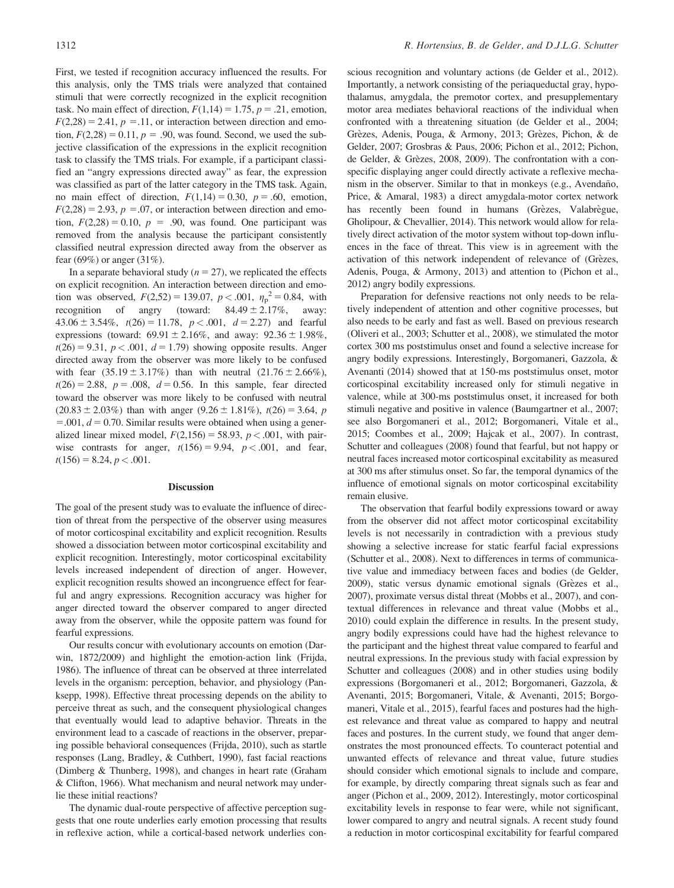First, we tested if recognition accuracy influenced the results. For this analysis, only the TMS trials were analyzed that contained stimuli that were correctly recognized in the explicit recognition task. No main effect of direction,  $F(1,14) = 1.75$ ,  $p = .21$ , emotion,  $F(2,28) = 2.41$ ,  $p = 11$ , or interaction between direction and emotion,  $F(2,28) = 0.11$ ,  $p = .90$ , was found. Second, we used the subjective classification of the expressions in the explicit recognition task to classify the TMS trials. For example, if a participant classified an "angry expressions directed away" as fear, the expression was classified as part of the latter category in the TMS task. Again, no main effect of direction,  $F(1,14) = 0.30$ ,  $p = .60$ , emotion,  $F(2,28) = 2.93$ ,  $p = .07$ , or interaction between direction and emotion,  $F(2,28) = 0.10$ ,  $p = .90$ , was found. One participant was removed from the analysis because the participant consistently classified neutral expression directed away from the observer as fear (69%) or anger (31%).

In a separate behavioral study ( $n = 27$ ), we replicated the effects on explicit recognition. An interaction between direction and emotion was observed,  $F(2,52) = 139.07$ ,  $p < .001$ ,  $\eta_p^2 = 0.84$ , with recognition of angry (toward:  $84.49 \pm 2.17\%$ , away:  $43.06 \pm 3.54\%, t(26) = 11.78, p < .001, d = 2.27)$  and fearful expressions (toward:  $69.91 \pm 2.16\%$ , and away:  $92.36 \pm 1.98\%$ ,  $t(26) = 9.31, p < .001, d = 1.79$ ) showing opposite results. Anger directed away from the observer was more likely to be confused with fear  $(35.19 \pm 3.17\%)$  than with neutral  $(21.76 \pm 2.66\%)$ ,  $t(26) = 2.88$ ,  $p = .008$ ,  $d = 0.56$ . In this sample, fear directed toward the observer was more likely to be confused with neutral  $(20.83 \pm 2.03\%)$  than with anger  $(9.26 \pm 1.81\%)$ ,  $t(26) = 3.64$ , p  $= 0.001$ ,  $d = 0.70$ . Similar results were obtained when using a generalized linear mixed model,  $F(2,156) = 58.93$ ,  $p < .001$ , with pairwise contrasts for anger,  $t(156) = 9.94$ ,  $p < .001$ , and fear,  $t(156) = 8.24, p < .001.$ 

#### Discussion

The goal of the present study was to evaluate the influence of direction of threat from the perspective of the observer using measures of motor corticospinal excitability and explicit recognition. Results showed a dissociation between motor corticospinal excitability and explicit recognition. Interestingly, motor corticospinal excitability levels increased independent of direction of anger. However, explicit recognition results showed an incongruence effect for fearful and angry expressions. Recognition accuracy was higher for anger directed toward the observer compared to anger directed away from the observer, while the opposite pattern was found for fearful expressions.

Our results concur with evolutionary accounts on emotion (Darwin, 1872/2009) and highlight the emotion-action link (Frijda, 1986). The influence of threat can be observed at three interrelated levels in the organism: perception, behavior, and physiology (Panksepp, 1998). Effective threat processing depends on the ability to perceive threat as such, and the consequent physiological changes that eventually would lead to adaptive behavior. Threats in the environment lead to a cascade of reactions in the observer, preparing possible behavioral consequences (Frijda, 2010), such as startle responses (Lang, Bradley, & Cuthbert, 1990), fast facial reactions (Dimberg & Thunberg, 1998), and changes in heart rate (Graham & Clifton, 1966). What mechanism and neural network may underlie these initial reactions?

The dynamic dual-route perspective of affective perception suggests that one route underlies early emotion processing that results in reflexive action, while a cortical-based network underlies con-

scious recognition and voluntary actions (de Gelder et al., 2012). Importantly, a network consisting of the periaqueductal gray, hypothalamus, amygdala, the premotor cortex, and presupplementary motor area mediates behavioral reactions of the individual when confronted with a threatening situation (de Gelder et al., 2004; Grèzes, Adenis, Pouga, & Armony, 2013; Grèzes, Pichon, & de Gelder, 2007; Grosbras & Paus, 2006; Pichon et al., 2012; Pichon, de Gelder, & Grèzes, 2008, 2009). The confrontation with a conspecific displaying anger could directly activate a reflexive mechanism in the observer. Similar to that in monkeys (e.g., Avendaño, Price, & Amaral, 1983) a direct amygdala-motor cortex network has recently been found in humans (Grèzes, Valabrègue, Gholipour, & Chevallier, 2014). This network would allow for relatively direct activation of the motor system without top-down influences in the face of threat. This view is in agreement with the activation of this network independent of relevance of (Grèzes, Adenis, Pouga, & Armony, 2013) and attention to (Pichon et al., 2012) angry bodily expressions.

Preparation for defensive reactions not only needs to be relatively independent of attention and other cognitive processes, but also needs to be early and fast as well. Based on previous research (Oliveri et al., 2003; Schutter et al., 2008), we stimulated the motor cortex 300 ms poststimulus onset and found a selective increase for angry bodily expressions. Interestingly, Borgomaneri, Gazzola, & Avenanti (2014) showed that at 150-ms poststimulus onset, motor corticospinal excitability increased only for stimuli negative in valence, while at 300-ms poststimulus onset, it increased for both stimuli negative and positive in valence (Baumgartner et al., 2007; see also Borgomaneri et al., 2012; Borgomaneri, Vitale et al., 2015; Coombes et al., 2009; Hajcak et al., 2007). In contrast, Schutter and colleagues (2008) found that fearful, but not happy or neutral faces increased motor corticospinal excitability as measured at 300 ms after stimulus onset. So far, the temporal dynamics of the influence of emotional signals on motor corticospinal excitability remain elusive.

The observation that fearful bodily expressions toward or away from the observer did not affect motor corticospinal excitability levels is not necessarily in contradiction with a previous study showing a selective increase for static fearful facial expressions (Schutter et al., 2008). Next to differences in terms of communicative value and immediacy between faces and bodies (de Gelder, 2009), static versus dynamic emotional signals (Grèzes et al., 2007), proximate versus distal threat (Mobbs et al., 2007), and contextual differences in relevance and threat value (Mobbs et al., 2010) could explain the difference in results. In the present study, angry bodily expressions could have had the highest relevance to the participant and the highest threat value compared to fearful and neutral expressions. In the previous study with facial expression by Schutter and colleagues (2008) and in other studies using bodily expressions (Borgomaneri et al., 2012; Borgomaneri, Gazzola, & Avenanti, 2015; Borgomaneri, Vitale, & Avenanti, 2015; Borgomaneri, Vitale et al., 2015), fearful faces and postures had the highest relevance and threat value as compared to happy and neutral faces and postures. In the current study, we found that anger demonstrates the most pronounced effects. To counteract potential and unwanted effects of relevance and threat value, future studies should consider which emotional signals to include and compare, for example, by directly comparing threat signals such as fear and anger (Pichon et al., 2009, 2012). Interestingly, motor corticospinal excitability levels in response to fear were, while not significant, lower compared to angry and neutral signals. A recent study found a reduction in motor corticospinal excitability for fearful compared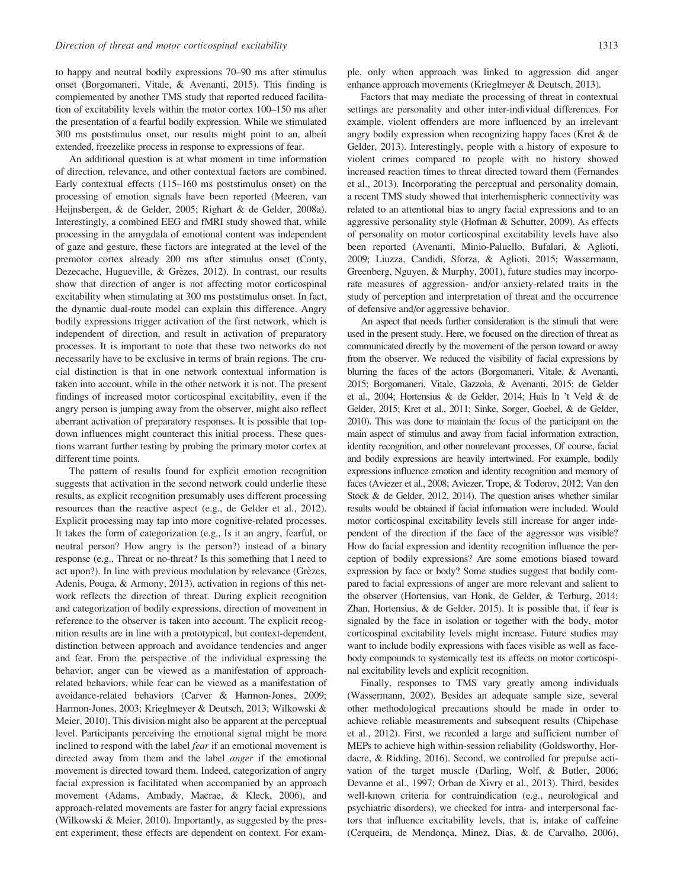to happy and neutral bodily expressions 70–90 ms after stimulus onset (Borgomaneri, Vitale, & Avenanti, 2015). This finding is complemented by another TMS study that reported reduced facilitation of excitability levels within the motor cortex 100–150 ms after the presentation of a fearful bodily expression. While we stimulated 300 ms poststimulus onset, our results might point to an, albeit extended, freezelike process in response to expressions of fear.

An additional question is at what moment in time information of direction, relevance, and other contextual factors are combined. Early contextual effects (115–160 ms poststimulus onset) on the processing of emotion signals have been reported (Meeren, van Heijnsbergen, & de Gelder, 2005; Righart & de Gelder, 2008a). Interestingly, a combined EEG and fMRI study showed that, while processing in the amygdala of emotional content was independent of gaze and gesture, these factors are integrated at the level of the premotor cortex already 200 ms after stimulus onset (Conty, Dezecache, Hugueville, & Grèzes, 2012). In contrast, our results show that direction of anger is not affecting motor corticospinal excitability when stimulating at 300 ms poststimulus onset. In fact, the dynamic dual-route model can explain this difference. Angry bodily expressions trigger activation of the first network, which is independent of direction, and result in activation of preparatory processes. It is important to note that these two networks do not necessarily have to be exclusive in terms of brain regions. The crucial distinction is that in one network contextual information is taken into account, while in the other network it is not. The present findings of increased motor corticospinal excitability, even if the angry person is jumping away from the observer, might also reflect aberrant activation of preparatory responses. It is possible that topdown influences might counteract this initial process. These questions warrant further testing by probing the primary motor cortex at different time points.

The pattern of results found for explicit emotion recognition suggests that activation in the second network could underlie these results, as explicit recognition presumably uses different processing resources than the reactive aspect (e.g., de Gelder et al., 2012). Explicit processing may tap into more cognitive-related processes. It takes the form of categorization (e.g., Is it an angry, fearful, or neutral person? How angry is the person?) instead of a binary response (e.g., Threat or no-threat? Is this something that I need to act upon?). In line with previous modulation by relevance (Grèzes, Adenis, Pouga, & Armony, 2013), activation in regions of this network reflects the direction of threat. During explicit recognition and categorization of bodily expressions, direction of movement in reference to the observer is taken into account. The explicit recognition results are in line with a prototypical, but context-dependent, distinction between approach and avoidance tendencies and anger and fear. From the perspective of the individual expressing the behavior, anger can be viewed as a manifestation of approachrelated behaviors, while fear can be viewed as a manifestation of avoidance-related behaviors (Carver & Harmon-Jones, 2009; Harmon-Jones, 2003; Krieglmeyer & Deutsch, 2013; Wilkowski & Meier, 2010). This division might also be apparent at the perceptual level. Participants perceiving the emotional signal might be more inclined to respond with the label *fear* if an emotional movement is directed away from them and the label anger if the emotional movement is directed toward them. Indeed, categorization of angry facial expression is facilitated when accompanied by an approach movement (Adams, Ambady, Macrae, & Kleck, 2006), and approach-related movements are faster for angry facial expressions (Wilkowski & Meier, 2010). Importantly, as suggested by the present experiment, these effects are dependent on context. For exam-

Factors that may mediate the processing of threat in contextual settings are personality and other inter-individual differences. For example, violent offenders are more influenced by an irrelevant angry bodily expression when recognizing happy faces (Kret & de Gelder, 2013). Interestingly, people with a history of exposure to violent crimes compared to people with no history showed increased reaction times to threat directed toward them (Fernandes et al., 2013). Incorporating the perceptual and personality domain, a recent TMS study showed that interhemispheric connectivity was related to an attentional bias to angry facial expressions and to an aggressive personality style (Hofman & Schutter, 2009). As effects of personality on motor corticospinal excitability levels have also been reported (Avenanti, Minio-Paluello, Bufalari, & Aglioti, 2009; Liuzza, Candidi, Sforza, & Aglioti, 2015; Wassermann, Greenberg, Nguyen, & Murphy, 2001), future studies may incorporate measures of aggression- and/or anxiety-related traits in the study of perception and interpretation of threat and the occurrence of defensive and/or aggressive behavior.

An aspect that needs further consideration is the stimuli that were used in the present study. Here, we focused on the direction of threat as communicated directly by the movement of the person toward or away from the observer. We reduced the visibility of facial expressions by blurring the faces of the actors (Borgomaneri, Vitale, & Avenanti, 2015; Borgomaneri, Vitale, Gazzola, & Avenanti, 2015; de Gelder et al., 2004; Hortensius & de Gelder, 2014; Huis In 't Veld & de Gelder, 2015; Kret et al., 2011; Sinke, Sorger, Goebel, & de Gelder, 2010). This was done to maintain the focus of the participant on the main aspect of stimulus and away from facial information extraction, identity recognition, and other nonrelevant processes, Of course, facial and bodily expressions are heavily intertwined. For example, bodily expressions influence emotion and identity recognition and memory of faces (Aviezer et al., 2008; Aviezer, Trope, & Todorov, 2012; Van den Stock & de Gelder, 2012, 2014). The question arises whether similar results would be obtained if facial information were included. Would motor corticospinal excitability levels still increase for anger independent of the direction if the face of the aggressor was visible? How do facial expression and identity recognition influence the perception of bodily expressions? Are some emotions biased toward expression by face or body? Some studies suggest that bodily compared to facial expressions of anger are more relevant and salient to the observer (Hortensius, van Honk, de Gelder, & Terburg, 2014; Zhan, Hortensius, & de Gelder, 2015). It is possible that, if fear is signaled by the face in isolation or together with the body, motor corticospinal excitability levels might increase. Future studies may want to include bodily expressions with faces visible as well as facebody compounds to systemically test its effects on motor corticospinal excitability levels and explicit recognition.

Finally, responses to TMS vary greatly among individuals (Wassermann, 2002). Besides an adequate sample size, several other methodological precautions should be made in order to achieve reliable measurements and subsequent results (Chipchase et al., 2012). First, we recorded a large and sufficient number of MEPs to achieve high within-session reliability (Goldsworthy, Hordacre, & Ridding, 2016). Second, we controlled for prepulse activation of the target muscle (Darling, Wolf, & Butler, 2006; Devanne et al., 1997; Orban de Xivry et al., 2013). Third, besides well-known criteria for contraindication (e.g., neurological and psychiatric disorders), we checked for intra- and interpersonal factors that influence excitability levels, that is, intake of caffeine (Cerqueira, de Mendonça, Minez, Dias, & de Carvalho, 2006),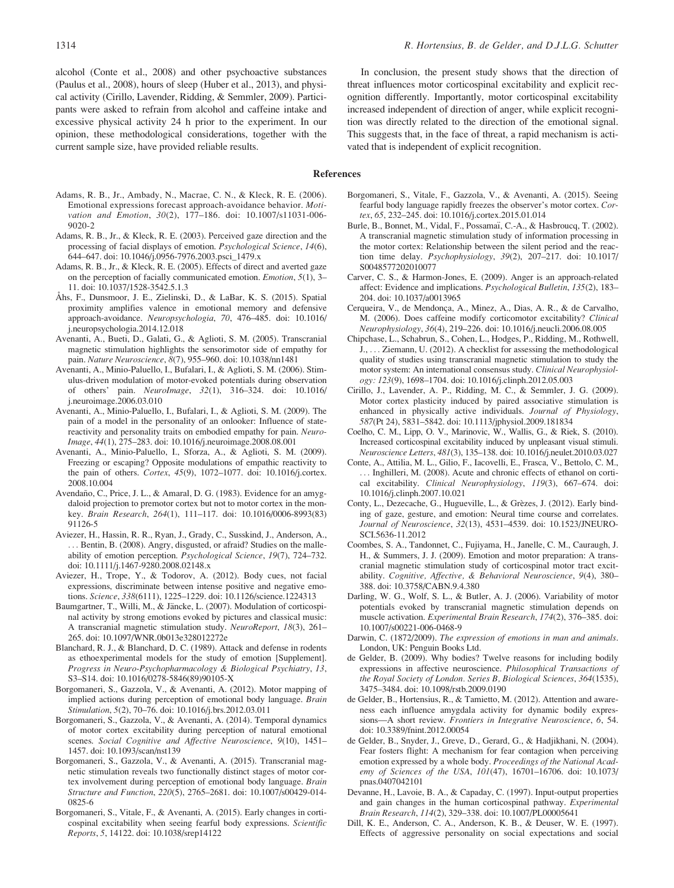alcohol (Conte et al., 2008) and other psychoactive substances (Paulus et al., 2008), hours of sleep (Huber et al., 2013), and physical activity (Cirillo, Lavender, Ridding, & Semmler, 2009). Participants were asked to refrain from alcohol and caffeine intake and excessive physical activity 24 h prior to the experiment. In our opinion, these methodological considerations, together with the current sample size, have provided reliable results.

In conclusion, the present study shows that the direction of threat influences motor corticospinal excitability and explicit recognition differently. Importantly, motor corticospinal excitability increased independent of direction of anger, while explicit recognition was directly related to the direction of the emotional signal. This suggests that, in the face of threat, a rapid mechanism is activated that is independent of explicit recognition.

### References

- Adams, R. B., Jr., Ambady, N., Macrae, C. N., & Kleck, R. E. (2006). Emotional expressions forecast approach-avoidance behavior. Motivation and Emotion, 30(2), 177–186. doi: [10.1007/s11031-006-](info:doi/10.1007/s11031-006-9020-2) [9020-2](info:doi/10.1007/s11031-006-9020-2)
- Adams, R. B., Jr., & Kleck, R. E. (2003). Perceived gaze direction and the processing of facial displays of emotion. Psychological Science, 14(6), 644–647. doi: [10.1046/j.0956-7976.2003.psci\\_1479.x](info:doi/10.1046/j.0956-7976.2003.psci_1479.x)
- Adams, R. B., Jr., & Kleck, R. E. (2005). Effects of direct and averted gaze on the perception of facially communicated emotion. Emotion, 5(1), 3– 11. doi: [10.1037/1528-3542.5.1.3](info:doi/10.1037/1528-3542.5.1.3)
- Ahs, F., Dunsmoor, J. E., Zielinski, D., & LaBar, K. S. (2015). Spatial proximity amplifies valence in emotional memory and defensive approach-avoidance. Neuropsychologia, 70, 476–485. doi: [10.1016/](info:doi/10.1016/j.neuropsychologia.2014.12.018) [j.neuropsychologia.2014.12.018](info:doi/10.1016/j.neuropsychologia.2014.12.018)
- Avenanti, A., Bueti, D., Galati, G., & Aglioti, S. M. (2005). Transcranial magnetic stimulation highlights the sensorimotor side of empathy for pain. Nature Neuroscience, 8(7), 955–960. doi: [10.1038/nn1481](info:doi/10.1038/nn1481)
- Avenanti, A., Minio-Paluello, I., Bufalari, I., & Aglioti, S. M. (2006). Stimulus-driven modulation of motor-evoked potentials during observation of others' pain. NeuroImage, 32(1), 316–324. doi: [10.1016/](info:doi/10.1016/j.neuroimage.2006.03.010) [j.neuroimage.2006.03.010](info:doi/10.1016/j.neuroimage.2006.03.010)
- Avenanti, A., Minio-Paluello, I., Bufalari, I., & Aglioti, S. M. (2009). The pain of a model in the personality of an onlooker: Influence of statereactivity and personality traits on embodied empathy for pain. Neuro-Image, 44(1), 275–283. doi: [10.1016/j.neuroimage.2008.08.001](info:doi/10.1016/j.neuroimage.2008.08.001)
- Avenanti, A., Minio-Paluello, I., Sforza, A., & Aglioti, S. M. (2009). Freezing or escaping? Opposite modulations of empathic reactivity to the pain of others. Cortex, 45(9), 1072–1077. doi: [10.1016/j.cortex.](info:doi/10.1016/j.cortex.2008.10.004) [2008.10.004](info:doi/10.1016/j.cortex.2008.10.004)
- Avendaño, C., Price, J. L., & Amaral, D. G. (1983). Evidence for an amygdaloid projection to premotor cortex but not to motor cortex in the monkey. Brain Research, 264(1), 111–117. doi: [10.1016/0006-8993\(83\)](info:doi/10.1016/0006-8993(83)91126-5) [91126-5](info:doi/10.1016/0006-8993(83)91126-5)
- Aviezer, H., Hassin, R. R., Ryan, J., Grady, C., Susskind, J., Anderson, A., ... Bentin, B. (2008). Angry, disgusted, or afraid? Studies on the malleability of emotion perception. Psychological Science, 19(7), 724–732. doi: [10.1111/j.1467-9280.2008.02148.x](info:doi/10.1111/j.1467-9280.2008.02148.x)
- Aviezer, H., Trope, Y., & Todorov, A. (2012). Body cues, not facial expressions, discriminate between intense positive and negative emotions. Science, 338(6111), 1225–1229. doi: [10.1126/science.1224313](info:doi/10.1126/science.1224313)
- Baumgartner, T., Willi, M., & Jäncke, L. (2007). Modulation of corticospinal activity by strong emotions evoked by pictures and classical music: A transcranial magnetic stimulation study. NeuroReport, 18(3), 261– 265. doi: [10.1097/WNR.0b013e328012272e](info:doi/10.1097/WNR.0b013e328012272e)
- Blanchard, R. J., & Blanchard, D. C. (1989). Attack and defense in rodents as ethoexperimental models for the study of emotion [Supplement]. Progress in Neuro-Psychopharmacology & Biological Psychiatry, 13, S3–S14. doi: [10.1016/0278-5846\(89\)90105-X](info:doi/10.1016/0278-5846(89)90105-X)
- Borgomaneri, S., Gazzola, V., & Avenanti, A. (2012). Motor mapping of implied actions during perception of emotional body language. Brain Stimulation, 5(2), 70–76. doi: [10.1016/j.brs.2012.03.011](info:doi/10.1016/j.brs.2012.03.011)
- Borgomaneri, S., Gazzola, V., & Avenanti, A. (2014). Temporal dynamics of motor cortex excitability during perception of natural emotional scenes. Social Cognitive and Affective Neuroscience, 9(10), 1451-1457. doi: [10.1093/scan/nst139](info:doi/10.1093/scan/nst139)
- Borgomaneri, S., Gazzola, V., & Avenanti, A. (2015). Transcranial magnetic stimulation reveals two functionally distinct stages of motor cortex involvement during perception of emotional body language. Brain Structure and Function, 220(5), 2765–2681. doi: [10.1007/s00429-014-](info:doi/10.1007/s00429-014-0825-6) [0825-6](info:doi/10.1007/s00429-014-0825-6)
- Borgomaneri, S., Vitale, F., & Avenanti, A. (2015). Early changes in corticospinal excitability when seeing fearful body expressions. Scientific Reports, 5, 14122. doi: [10.1038/srep14122](info:doi/10.1038/srep14122)
- Borgomaneri, S., Vitale, F., Gazzola, V., & Avenanti, A. (2015). Seeing fearful body language rapidly freezes the observer's motor cortex. Cortex, 65, 232–245. doi: [10.1016/j.cortex.2015.01.014](info:doi/10.1016/j.cortex.2015.01.014)
- Burle, B., Bonnet, M., Vidal, F., Possamaï, C.-A., & Hasbroucq, T. (2002). A transcranial magnetic stimulation study of information processing in the motor cortex: Relationship between the silent period and the reaction time delay. Psychophysiology, 39(2), 207–217. doi: [10.1017/](info:doi/10.1017/S0048577202010077) [S0048577202010077](info:doi/10.1017/S0048577202010077)
- Carver, C. S., & Harmon-Jones, E. (2009). Anger is an approach-related affect: Evidence and implications. Psychological Bulletin, 135(2), 183– 204. doi: [10.1037/a0013965](info:doi/10.1037/a0013965)
- Cerqueira, V., de Mendonça, A., Minez, A., Dias, A. R., & de Carvalho, M. (2006). Does caffeine modify corticomotor excitability? Clinical Neurophysiology, 36(4), 219–226. doi: [10.1016/j.neucli.2006.08.005](info:doi/10.1016/j.neucli.2006.08.005)
- Chipchase, L., Schabrun, S., Cohen, L., Hodges, P., Ridding, M., Rothwell, J., ... Ziemann, U. (2012). A checklist for assessing the methodological quality of studies using transcranial magnetic stimulation to study the motor system: An international consensus study. Clinical Neurophysiology: 123(9), 1698–1704. doi: [10.1016/j.clinph.2012.05.003](info:doi/10.1016/j.clinph.2012.05.003)
- Cirillo, J., Lavender, A. P., Ridding, M. C., & Semmler, J. G. (2009). Motor cortex plasticity induced by paired associative stimulation is enhanced in physically active individuals. Journal of Physiology, 587(Pt 24), 5831–5842. doi: [10.1113/jphysiol.2009.181834](info:doi/10.1113/jphysiol.2009.181834)
- Coelho, C. M., Lipp, O. V., Marinovic, W., Wallis, G., & Riek, S. (2010). Increased corticospinal excitability induced by unpleasant visual stimuli. Neuroscience Letters, 481(3), 135–138. doi: [10.1016/j.neulet.2010.03.027](info:doi/10.1016/j.neulet.2010.03.027)
- Conte, A., Attilia, M. L., Gilio, F., Iacovelli, E., Frasca, V., Bettolo, C. M., ... Inghilleri, M. (2008). Acute and chronic effects of ethanol on cortical excitability. Clinical Neurophysiology, 119(3), 667–674. doi: [10.1016/j.clinph.2007.10.021](info:doi/10.1016/j.clinph.2007.10.021)
- Conty, L., Dezecache, G., Hugueville, L., & Grèzes, J. (2012). Early binding of gaze, gesture, and emotion: Neural time course and correlates. Journal of Neuroscience, 32(13), 4531–4539. doi: [10.1523/JNEURO-](info:doi/10.1523/JNEUROSCI.5636-11.2012)[SCI.5636-11.2012](info:doi/10.1523/JNEUROSCI.5636-11.2012)
- Coombes, S. A., Tandonnet, C., Fujiyama, H., Janelle, C. M., Cauraugh, J. H., & Summers, J. J. (2009). Emotion and motor preparation: A transcranial magnetic stimulation study of corticospinal motor tract excitability. Cognitive, Affective, & Behavioral Neuroscience, 9(4), 380– 388. doi: [10.3758/CABN.9.4.380](info:doi/10.3758/CABN.9.4.380)
- Darling, W. G., Wolf, S. L., & Butler, A. J. (2006). Variability of motor potentials evoked by transcranial magnetic stimulation depends on muscle activation. Experimental Brain Research, 174(2), 376–385. doi: [10.1007/s00221-006-0468-9](info:doi/10.1007/s00221-006-0468-9)
- Darwin, C. (1872/2009). The expression of emotions in man and animals. London, UK: Penguin Books Ltd.
- de Gelder, B. (2009). Why bodies? Twelve reasons for including bodily expressions in affective neuroscience. Philosophical Transactions of the Royal Society of London. Series B, Biological Sciences, 364(1535), 3475–3484. doi: [10.1098/rstb.2009.0190](info:doi/10.1098/rstb.2009.0190)
- de Gelder, B., Hortensius, R., & Tamietto, M. (2012). Attention and awareness each influence amygdala activity for dynamic bodily expressions—A short review. Frontiers in Integrative Neuroscience, 6, 54. doi: [10.3389/fnint.2012.00054](info:doi/10.3389/fnint.2012.00054)
- de Gelder, B., Snyder, J., Greve, D., Gerard, G., & Hadjikhani, N. (2004). Fear fosters flight: A mechanism for fear contagion when perceiving emotion expressed by a whole body. Proceedings of the National Academy of Sciences of the USA, 101(47), 16701–16706. doi: [10.1073/](info:doi/10.1073/pnas.0407042101) [pnas.0407042101](info:doi/10.1073/pnas.0407042101)
- Devanne, H., Lavoie, B. A., & Capaday, C. (1997). Input-output properties and gain changes in the human corticospinal pathway. Experimental Brain Research, 114(2), 329–338. doi: [10.1007/PL00005641](info:doi/10.1007/PL00005641)
- Dill, K. E., Anderson, C. A., Anderson, K. B., & Deuser, W. E. (1997). Effects of aggressive personality on social expectations and social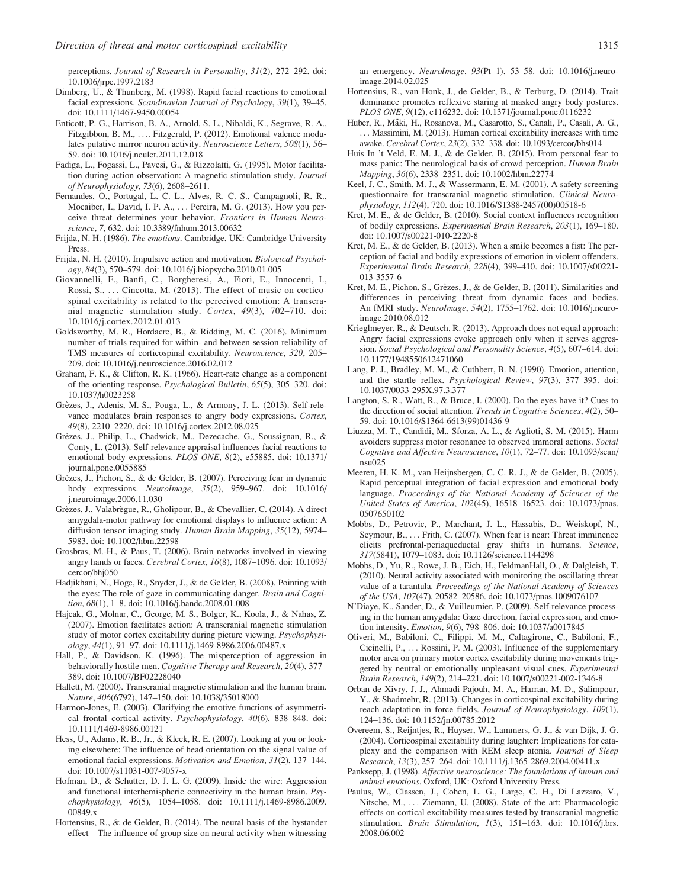perceptions. Journal of Research in Personality, 31(2), 272–292. doi: [10.1006/jrpe.1997.2183](info:doi/10.1006/jrpe.1997.2183)

- Dimberg, U., & Thunberg, M. (1998). Rapid facial reactions to emotional facial expressions. Scandinavian Journal of Psychology, 39(1), 39–45. doi: [10.1111/1467-9450.00054](info:doi/10.1111/1467-9450.00054)
- Enticott, P. G., Harrison, B. A., Arnold, S. L., Nibaldi, K., Segrave, R. A., Fitzgibbon, B. M., .... Fitzgerald, P. (2012). Emotional valence modulates putative mirror neuron activity. Neuroscience Letters, 508(1), 56– 59. doi: [10.1016/j.neulet.2011.12.018](info:doi/10.1016/j.neulet.2011.12.018)
- Fadiga, L., Fogassi, L., Pavesi, G., & Rizzolatti, G. (1995). Motor facilitation during action observation: A magnetic stimulation study. Journal of Neurophysiology, 73(6), 2608–2611.
- Fernandes, O., Portugal, L. C. L., Alves, R. C. S., Campagnoli, R. R., Mocaiber, I., David, I. P. A., ... Pereira, M. G. (2013). How you perceive threat determines your behavior. Frontiers in Human Neuroscience, 7, 632. doi: [10.3389/fnhum.2013.00632](info:doi/10.3389/fnhum.2013.00632)
- Frijda, N. H. (1986). The emotions. Cambridge, UK: Cambridge University Press.
- Frijda, N. H. (2010). Impulsive action and motivation. Biological Psychology, 84(3), 570–579. doi: [10.1016/j.biopsycho.2010.01.005](info:doi/10.1016/j.biopsycho.2010.01.005)
- Giovannelli, F., Banfi, C., Borgheresi, A., Fiori, E., Innocenti, I., Rossi, S., ... Cincotta, M. (2013). The effect of music on corticospinal excitability is related to the perceived emotion: A transcranial magnetic stimulation study. Cortex, 49(3), 702–710. doi: [10.1016/j.cortex.2012.01.013](info:doi/10.1016/j.cortex.2012.01.013)
- Goldsworthy, M. R., Hordacre, B., & Ridding, M. C. (2016). Minimum number of trials required for within- and between-session reliability of TMS measures of corticospinal excitability. Neuroscience, 320, 205– 209. doi: [10.1016/j.neuroscience.2016.02.012](info:doi/10.1016/j.neuroscience.2016.02.012)
- Graham, F. K., & Clifton, R. K. (1966). Heart-rate change as a component of the orienting response. Psychological Bulletin, 65(5), 305–320. doi: [10.1037/h0023258](info:doi/10.1037/h0023258)
- Grèzes, J., Adenis, M.-S., Pouga, L., & Armony, J. L. (2013). Self-relevance modulates brain responses to angry body expressions. Cortex, 49(8), 2210–2220. doi: [10.1016/j.cortex.2012.08.025](info:doi/10.1016/j.cortex.2012.08.025)
- Grèzes, J., Philip, L., Chadwick, M., Dezecache, G., Soussignan, R., & Conty, L. (2013). Self-relevance appraisal influences facial reactions to emotional body expressions. PLOS ONE, 8(2), e55885. doi: [10.1371/](info:doi/10.1371/journal.pone.0055885) [journal.pone.0055885](info:doi/10.1371/journal.pone.0055885)
- Grèzes, J., Pichon, S., & de Gelder, B. (2007). Perceiving fear in dynamic body expressions. NeuroImage, 35(2), 959–967. doi: [10.1016/](info:doi/10.1016/j.neuroimage.2006.11.030) [j.neuroimage.2006.11.030](info:doi/10.1016/j.neuroimage.2006.11.030)
- Grèzes, J., Valabrègue, R., Gholipour, B., & Chevallier, C. (2014). A direct amygdala-motor pathway for emotional displays to influence action: A diffusion tensor imaging study. Human Brain Mapping, 35(12), 5974– 5983. doi: [10.1002/hbm.22598](info:doi/10.1002/hbm.22598)
- Grosbras, M.-H., & Paus, T. (2006). Brain networks involved in viewing angry hands or faces. Cerebral Cortex, 16(8), 1087–1096. doi: [10.1093/](info:doi/10.1093/cercor/bhj050) [cercor/bhj050](info:doi/10.1093/cercor/bhj050)
- Hadjikhani, N., Hoge, R., Snyder, J., & de Gelder, B. (2008). Pointing with the eyes: The role of gaze in communicating danger. Brain and Cognition, 68(1), 1–8. doi: [10.1016/j.bandc.2008.01.008](info:doi/10.1016/j.bandc.2008.01.008)
- Hajcak, G., Molnar, C., George, M. S., Bolger, K., Koola, J., & Nahas, Z. (2007). Emotion facilitates action: A transcranial magnetic stimulation study of motor cortex excitability during picture viewing. Psychophysiology, 44(1), 91–97. doi: [10.1111/j.1469-8986.2006.00487.x](info:doi/10.1111/j.1469-8986.2006.00487.x)
- Hall, P., & Davidson, K. (1996). The misperception of aggression in behaviorally hostile men. Cognitive Therapy and Research, 20(4), 377– 389. doi: [10.1007/BF02228040](info:doi/10.1007/BF02228040)
- Hallett, M. (2000). Transcranial magnetic stimulation and the human brain. Nature, 406(6792), 147–150. doi: [10.1038/35018000](info:doi/10.1038/35018000)
- Harmon-Jones, E. (2003). Clarifying the emotive functions of asymmetrical frontal cortical activity. Psychophysiology, 40(6), 838–848. doi: [10.1111/1469-8986.00121](info:doi/10.1111/1469-8986.00121)
- Hess, U., Adams, R. B., Jr., & Kleck, R. E. (2007). Looking at you or looking elsewhere: The influence of head orientation on the signal value of emotional facial expressions. Motivation and Emotion, 31(2), 137–144. doi: [10.1007/s11031-007-9057-x](info:doi/10.1007/s11031-007-9057-x)
- Hofman, D., & Schutter, D. J. L. G. (2009). Inside the wire: Aggression and functional interhemispheric connectivity in the human brain. Psychophysiology, 46(5), 1054–1058. doi: [10.1111/j.1469-8986.2009.](info:doi/10.1111/j.1469-8986.2009.00849.x) [00849.x](info:doi/10.1111/j.1469-8986.2009.00849.x)
- Hortensius, R., & de Gelder, B. (2014). The neural basis of the bystander effect—The influence of group size on neural activity when witnessing

an emergency. NeuroImage, 93(Pt 1), 53–58. doi: [10.1016/j.neuro](info:doi/10.1016/j.neuroimage.2014.02.025)[image.2014.02.025](info:doi/10.1016/j.neuroimage.2014.02.025)

- Hortensius, R., van Honk, J., de Gelder, B., & Terburg, D. (2014). Trait dominance promotes reflexive staring at masked angry body postures. PLOS ONE, 9(12), e116232. doi: [10.1371/journal.pone.0116232](info:doi/10.1371/journal.pone.0116232)
- Huber, R., Mäki, H., Rosanova, M., Casarotto, S., Canali, P., Casali, A. G., ... Massimini, M. (2013). Human cortical excitability increases with time awake. Cerebral Cortex, 23(2), 332–338. doi: [10.1093/cercor/bhs014](info:doi/10.1093/cercor/bhs014)
- Huis In 't Veld, E. M. J., & de Gelder, B. (2015). From personal fear to mass panic: The neurological basis of crowd perception. Human Brain Mapping, 36(6), 2338–2351. doi: [10.1002/hbm.22774](info:doi/10.1002/hbm.22774)
- Keel, J. C., Smith, M. J., & Wassermann, E. M. (2001). A safety screening questionnaire for transcranial magnetic stimulation. Clinical Neurophysiology, 112(4), 720. doi: [10.1016/S1388-2457\(00\)00518-6](info:doi/10.1016/S1388-2457(00)00518-6)
- Kret, M. E., & de Gelder, B. (2010). Social context influences recognition of bodily expressions. Experimental Brain Research, 203(1), 169–180. doi: [10.1007/s00221-010-2220-8](info:doi/10.1007/s00221-010-2220-8)
- Kret, M. E., & de Gelder, B. (2013). When a smile becomes a fist: The perception of facial and bodily expressions of emotion in violent offenders. Experimental Brain Research, 228(4), 399–410. doi: [10.1007/s00221-](info:doi/10.1007/s00221-013-3557-6) [013-3557-6](info:doi/10.1007/s00221-013-3557-6)
- Kret, M. E., Pichon, S., Grèzes, J., & de Gelder, B. (2011). Similarities and differences in perceiving threat from dynamic faces and bodies. An fMRI study. NeuroImage, 54(2), 1755–1762. doi: [10.1016/j.neuro](info:doi/10.1016/j.neuroimage.2010.08.012)[image.2010.08.012](info:doi/10.1016/j.neuroimage.2010.08.012)
- Krieglmeyer, R., & Deutsch, R. (2013). Approach does not equal approach: Angry facial expressions evoke approach only when it serves aggression. Social Psychological and Personality Science, 4(5), 607–614. doi: [10.1177/1948550612471060](info:doi/10.1177/1948550612471060)
- Lang, P. J., Bradley, M. M., & Cuthbert, B. N. (1990). Emotion, attention, and the startle reflex. Psychological Review, 97(3), 377–395. doi: [10.1037/0033-295X.97.3.377](info:doi/10.1037/0033-295X.97.3.377)
- Langton, S. R., Watt, R., & Bruce, I. (2000). Do the eyes have it? Cues to the direction of social attention. Trends in Cognitive Sciences, 4(2), 50– 59. doi: [10.1016/S1364-6613\(99\)01436-9](info:doi/10.1016/S1364-6613(99)01436-9)
- Liuzza, M. T., Candidi, M., Sforza, A. L., & Aglioti, S. M. (2015). Harm avoiders suppress motor resonance to observed immoral actions. Social Cognitive and Affective Neuroscience, 10(1), 72–77. doi: [10.1093/scan/](info:doi/10.1093/scan/nsu025) [nsu025](info:doi/10.1093/scan/nsu025)
- Meeren, H. K. M., van Heijnsbergen, C. C. R. J., & de Gelder, B. (2005). Rapid perceptual integration of facial expression and emotional body language. Proceedings of the National Academy of Sciences of the United States of America, 102(45), 16518–16523. doi: [10.1073/pnas.](info:doi/10.1073/pnas.0507650102) [0507650102](info:doi/10.1073/pnas.0507650102)
- Mobbs, D., Petrovic, P., Marchant, J. L., Hassabis, D., Weiskopf, N., Seymour, B., ... Frith, C. (2007). When fear is near: Threat imminence elicits prefrontal-periaqueductal gray shifts in humans. Science, 317(5841), 1079–1083. doi: [10.1126/science.1144298](info:doi/10.1126/science.1144298)
- Mobbs, D., Yu, R., Rowe, J. B., Eich, H., FeldmanHall, O., & Dalgleish, T. (2010). Neural activity associated with monitoring the oscillating threat value of a tarantula. Proceedings of the National Academy of Sciences of the USA, 107(47), 20582–20586. doi: [10.1073/pnas.1009076107](info:doi/10.1073/pnas.1009076107)
- N'Diaye, K., Sander, D., & Vuilleumier, P. (2009). Self-relevance processing in the human amygdala: Gaze direction, facial expression, and emotion intensity. Emotion, 9(6), 798–806. doi: [10.1037/a0017845](info:doi/10.1037/a0017845)
- Oliveri, M., Babiloni, C., Filippi, M. M., Caltagirone, C., Babiloni, F., Cicinelli, P., ... Rossini, P. M. (2003). Influence of the supplementary motor area on primary motor cortex excitability during movements triggered by neutral or emotionally unpleasant visual cues. Experimental Brain Research, 149(2), 214–221. doi: [10.1007/s00221-002-1346-8](info:doi/10.1007/s00221-002-1346-8)
- Orban de Xivry, J.-J., Ahmadi-Pajouh, M. A., Harran, M. D., Salimpour, Y., & Shadmehr, R. (2013). Changes in corticospinal excitability during reach adaptation in force fields. Journal of Neurophysiology, 109(1), 124–136. doi: [10.1152/jn.00785.2012](info:doi/10.1152/jn.00785.2012)
- Overeem, S., Reijntjes, R., Huyser, W., Lammers, G. J., & van Dijk, J. G. (2004). Corticospinal excitability during laughter: Implications for cataplexy and the comparison with REM sleep atonia. Journal of Sleep Research, 13(3), 257–264. doi: [10.1111/j.1365-2869.2004.00411.x](info:doi/10.1111/j.1365-2869.2004.00411.x)
- Panksepp, J. (1998). Affective neuroscience: The foundations of human and animal emotions. Oxford, UK: Oxford University Press.
- Paulus, W., Classen, J., Cohen, L. G., Large, C. H., Di Lazzaro, V., Nitsche, M., ... Ziemann, U. (2008). State of the art: Pharmacologic effects on cortical excitability measures tested by transcranial magnetic stimulation. Brain Stimulation, 1(3), 151–163. doi: [10.1016/j.brs.](info:doi/10.1016/j.brs.2008.06.002) [2008.06.002](info:doi/10.1016/j.brs.2008.06.002)